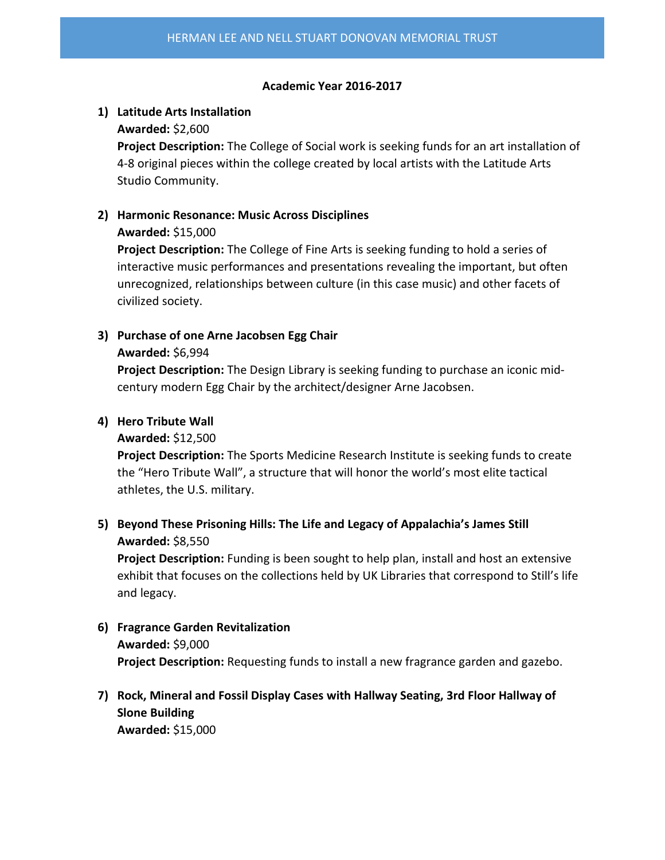#### **Academic Year 2016-2017**

# **1) Latitude Arts Installation**

### **Awarded:** \$2,600

**Project Description:** The College of Social work is seeking funds for an art installation of 4-8 original pieces within the college created by local artists with the Latitude Arts Studio Community.

# **2) Harmonic Resonance: Music Across Disciplines**

# **Awarded:** \$15,000

**Project Description:** The College of Fine Arts is seeking funding to hold a series of interactive music performances and presentations revealing the important, but often unrecognized, relationships between culture (in this case music) and other facets of civilized society.

# **3) Purchase of one Arne Jacobsen Egg Chair**

#### **Awarded:** \$6,994

**Project Description:** The Design Library is seeking funding to purchase an iconic midcentury modern Egg Chair by the architect/designer Arne Jacobsen.

# **4) Hero Tribute Wall**

#### **Awarded:** \$12,500

**Project Description:** The Sports Medicine Research Institute is seeking funds to create the "Hero Tribute Wall", a structure that will honor the world's most elite tactical athletes, the U.S. military.

# **5) Beyond These Prisoning Hills: The Life and Legacy of Appalachia's James Still Awarded:** \$8,550

**Project Description:** Funding is been sought to help plan, install and host an extensive exhibit that focuses on the collections held by UK Libraries that correspond to Still's life and legacy.

# **6) Fragrance Garden Revitalization Awarded:** \$9,000 **Project Description:** Requesting funds to install a new fragrance garden and gazebo.

# **7) Rock, Mineral and Fossil Display Cases with Hallway Seating, 3rd Floor Hallway of Slone Building Awarded:** \$15,000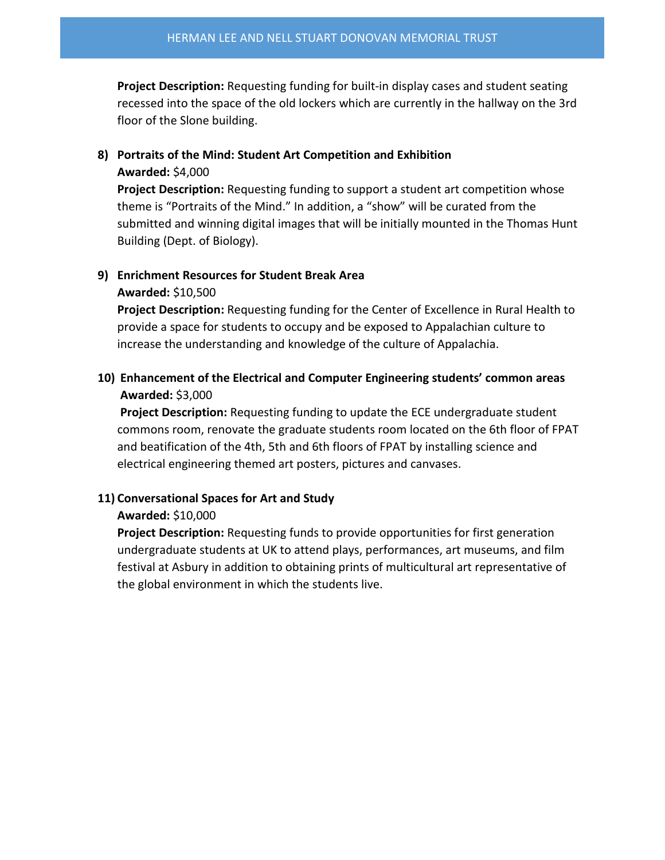**Project Description:** Requesting funding for built-in display cases and student seating recessed into the space of the old lockers which are currently in the hallway on the 3rd floor of the Slone building.

# **8) Portraits of the Mind: Student Art Competition and Exhibition**

#### **Awarded:** \$4,000

**Project Description:** Requesting funding to support a student art competition whose theme is "Portraits of the Mind." In addition, a "show" will be curated from the submitted and winning digital images that will be initially mounted in the Thomas Hunt Building (Dept. of Biology).

# **9) Enrichment Resources for Student Break Area**

#### **Awarded:** \$10,500

**Project Description:** Requesting funding for the Center of Excellence in Rural Health to provide a space for students to occupy and be exposed to Appalachian culture to increase the understanding and knowledge of the culture of Appalachia.

# **10) Enhancement of the Electrical and Computer Engineering students' common areas Awarded:** \$3,000

**Project Description:** Requesting funding to update the ECE undergraduate student commons room, renovate the graduate students room located on the 6th floor of FPAT and beatification of the 4th, 5th and 6th floors of FPAT by installing science and electrical engineering themed art posters, pictures and canvases.

# **11) Conversational Spaces for Art and Study**

# **Awarded:** \$10,000

**Project Description:** Requesting funds to provide opportunities for first generation undergraduate students at UK to attend plays, performances, art museums, and film festival at Asbury in addition to obtaining prints of multicultural art representative of the global environment in which the students live.